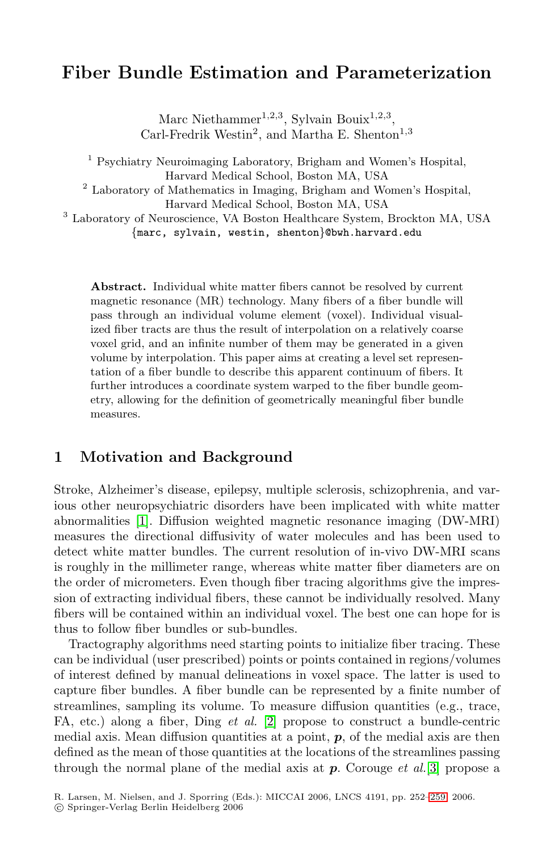# **Fiber Bundle Estimation and Parameterization**

Marc Niethammer<sup>1,2,3</sup>, Sylvain Bouix<sup>1,2,3</sup>, Carl-Fredrik Westin<sup>2</sup>, and Martha E. Shenton<sup>1,3</sup>

<sup>1</sup> Psychiatry Neuroimaging Laboratory, Brigham and Women's Hospital, Harvard Medical School, Boston MA, USA

 $^2$  Laboratory of Mathematics in Imaging, Brigham and Women's Hospital, Harvard Medical School, Boston MA, USA

<sup>3</sup> Laboratory of Neuroscience, VA Boston Healthcare System, Brockton MA, USA

{marc, sylvain, westin, shenton}@bwh.harvard.edu

**Abstract.** Individual white matter fibers cannot be resolved by current magnetic resonance (MR) technology. Many fibers of a fiber bundle will pass through an individual volume element (voxel). Individual visualized fiber tracts are thus the result of interpolation on a relatively coarse voxel grid, and an infinite number of them may be generated in a given volume by interpolation. This paper aims at creating a level set representation of a fiber bundle to describe this apparent continuum of fibers. It further introduces a coordinate system warped to the fiber bundle geometry, allowing for the definition of geometrically meaningful fiber bundle measures.

## **1 Motivation and Background**

Stroke, Alzheimer's disease, epilepsy, multiple sclerosis, schizophrenia, and various other neuropsychiatric disorders have been implicated with white matter abnormalities [1]. Diffusion weighted magnetic resonance imaging (DW-MRI) measures the directional diffusivity of water molecules and has been used to detect white matter bundles. The current resolution of in-vivo DW-MRI scans is roughly in the millimeter range, whereas white matter fiber diameters are on the order of micrometers. Even though fiber tracing algorithms give the impression of extracting individual fibers, these cannot be individually resolved. Many fibers will be contained within an individual voxel. The best one can hope for is thus to follow fiber bundles or sub-bundles.

Tractography algorithms need starting points to initialize fiber tracing. These can be individual (user prescribed) points or points contained in regions/volumes of interest defined by manual delineations in voxel space. The latter is used to capture fiber bundles. A fiber bundle can be represented by a finite number of streamlines, sampling its volume. To measure diffusion quantities (e.g., trace, FA, etc.) along a fiber, Ding *et al.* [2] propose to construct a bundle-centric medial axis. Mean diffusion quantities at a point, *p*, of the medial axis are then defined as the mean of those quantities at the locations of the streamlines passing through the normal plane of the medial axis at *<sup>p</sup>*. Corouge *et al.*[3] propose a

R. Larsen, M. Nielsen, and J. Sporring (Eds.): MICCAI 2006, LNCS 4191, pp. 252–259, 2006.

<sup>-</sup>c Springer-Verlag Berlin Heidelberg 2006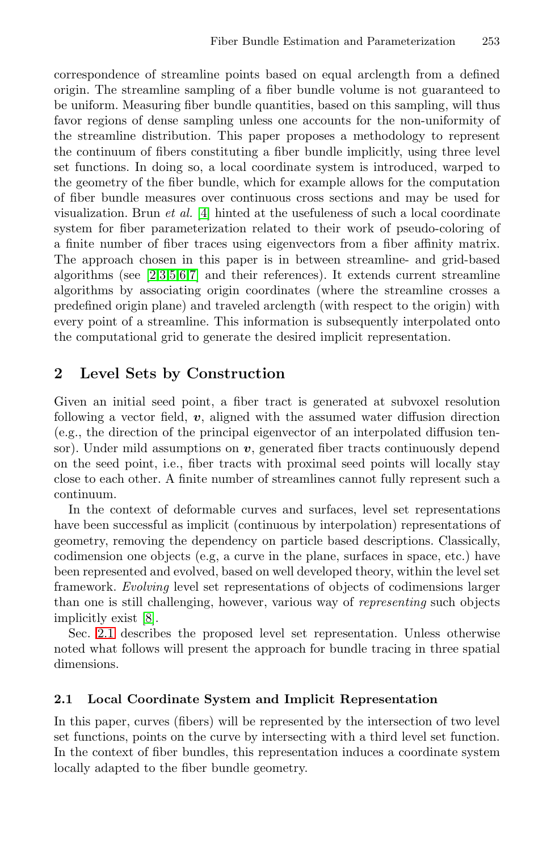correspondence of streamline points based on equal arclength from a defined origin. The streamline sampling of a fiber bundle volume is not guaranteed to be uniform. Measuring fiber bundle quantities, based on this sampling, will thus favor regions of dense sampling unless one accounts for the non-uniformity of the streamline distribution. This paper proposes a methodology to represent the continuum of fibers constituting a fiber bundle implicitly, using three level set functions. In doing so, a local coordinate system is introduced, warped to the geometry of the fiber bundle, which for example allows for the computation of fiber bundle measures over continuous cross sections and may be used for visualization. Brun *et al.* [4] hinted at the usefuleness of such a local coordinate system for fiber parameterization related to their work of pseudo-coloring of a finite number of fiber traces using eigenvectors from a fiber affinity matrix. The approach chosen in this paper is in between streamline- and grid-based algorithms (see [2,3,5,6,7] and their references). It extends current streamline algorithms by associating origin coordinates (where the streamline crosses a predefined origin plane) and traveled arclength (with respect to the origin) with every point of a streamline. This information is subsequently interpolated onto the computational grid to generate the desired implicit representation.

## **2 Level Sets by Construction**

Given an initial seed point, a fiber tract is generated at subvoxel resolution following a vector field,  $v$ , aligned with the assumed water diffusion direction (e.g., the direction of the principal eigenvector of an interpolated diffusion tensor). Under mild assumptions on *v*, generated fiber tracts continuously depend on the seed point, i.e., fiber tracts with proximal seed points will locally stay close to each other. A finite number of streamlines cannot fully represent such a continuum.

In the context of deformable curves and surfaces, level set representations have been successful as implicit (continuous by interpolation) representations of geometry, removing the dependency on particle based descriptions. Classically, codimension one objects (e.g, a curve in the plane, surfaces in space, etc.) have been represented and evolved, based on well developed theory, within the level set framework. *Evolving* level set representations of objects of codimensions larger than one is still challenging, however, various way of *representing* such objects implicitly exist [8].

Sec. 2.1 describes the proposed level set representation. Unless otherwise noted what follows will present the approach for bundle tracing in three spatial dimensions.

#### **2.1 Local Coordinate System and Implicit Representation**

In this paper, curves (fibers) will be represented by the intersection of two level set functions, points on the curve by intersecting with a third level set function. In the context of fiber bundles, this representation induces a coordinate system locally adapted to the fiber bundle geometry.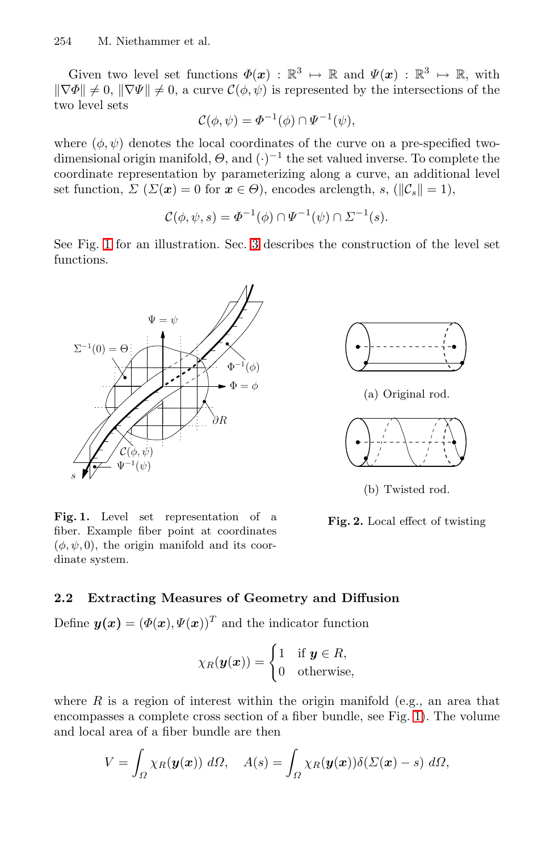Given two level set functions  $\Phi(\mathbf{x}) : \mathbb{R}^3 \to \mathbb{R}$  and  $\Psi(\mathbf{x}) : \mathbb{R}^3 \to \mathbb{R}$ , with  $\|\nabla \Phi\| \neq 0$ ,  $\|\nabla \Psi\| \neq 0$ , a curve  $\mathcal{C}(\phi, \psi)$  is represented by the intersections of the two level sets

$$
\mathcal{C}(\phi,\psi) = \Phi^{-1}(\phi) \cap \Psi^{-1}(\psi),
$$

where  $(\phi, \psi)$  denotes the local coordinates of the curve on a pre-specified twodimensional origin manifold,  $\Theta$ , and  $(\cdot)^{-1}$  the set valued inverse. To complete the coordinate representation by parameterizing along a curve, an additional level set function,  $\Sigma(\Sigma(\mathbf{x}) = 0$  for  $\mathbf{x} \in \Theta$ ), encodes arclength, s,  $(\|\mathcal{C}_s\| = 1)$ ,

$$
C(\phi, \psi, s) = \Phi^{-1}(\phi) \cap \Psi^{-1}(\psi) \cap \Sigma^{-1}(s).
$$

See Fig. 1 for an illustration. Sec. 3 describes the construction of the level set functions.





(b) Twisted rod.

**Fig. 1.** Level set representation of a fiber. Example fiber point at coordinates  $(\phi, \psi, 0)$ , the origin manifold and its coordinate system.

**Fig. 2.** Local effect of twisting

#### **2.2 Extracting Measures of Geometry and Diffusion**

Define  $y(x) = (\Phi(x), \Psi(x))^T$  and the indicator function

$$
\chi_R(\mathbf{y}(\mathbf{x})) = \begin{cases} 1 & \text{if } \mathbf{y} \in R, \\ 0 & \text{otherwise,} \end{cases}
$$

where  $R$  is a region of interest within the origin manifold (e.g., an area that encompasses a complete cross section of a fiber bundle, see Fig. 1). The volume and local area of a fiber bundle are then

$$
V = \int_{\Omega} \chi_R(\mathbf{y}(\mathbf{x})) \, d\Omega, \quad A(s) = \int_{\Omega} \chi_R(\mathbf{y}(\mathbf{x})) \delta(\Sigma(\mathbf{x}) - s) \, d\Omega,
$$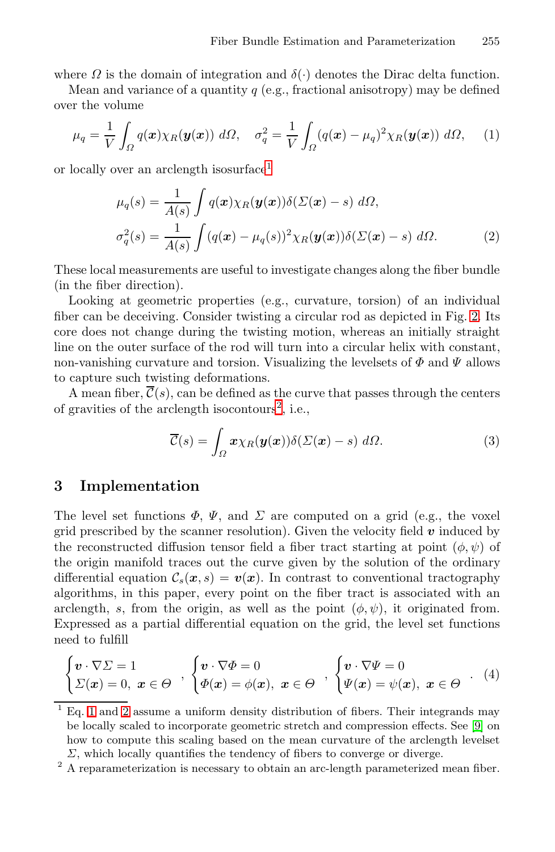where  $\Omega$  is the domain of integration and  $\delta(\cdot)$  denotes the Dirac delta function.

Mean and variance of a quantity  $q$  (e.g., fractional anisotropy) may be defined over the volume

$$
\mu_q = \frac{1}{V} \int_{\Omega} q(\boldsymbol{x}) \chi_R(\boldsymbol{y}(\boldsymbol{x})) \ d\Omega, \quad \sigma_q^2 = \frac{1}{V} \int_{\Omega} (q(\boldsymbol{x}) - \mu_q)^2 \chi_R(\boldsymbol{y}(\boldsymbol{x})) \ d\Omega, \quad (1)
$$

or locally over an arclength isosurface<sup>1</sup>

$$
\mu_q(s) = \frac{1}{A(s)} \int q(\boldsymbol{x}) \chi_R(\boldsymbol{y}(\boldsymbol{x})) \delta(\Sigma(\boldsymbol{x}) - s) \, d\Omega,
$$
  

$$
\sigma_q^2(s) = \frac{1}{A(s)} \int (q(\boldsymbol{x}) - \mu_q(s))^2 \chi_R(\boldsymbol{y}(\boldsymbol{x})) \delta(\Sigma(\boldsymbol{x}) - s) \, d\Omega.
$$
 (2)

These local measurements are useful to investigate changes along the fiber bundle (in the fiber direction).

Looking at geometric properties (e.g., curvature, torsion) of an individual fiber can be deceiving. Consider twisting a circular rod as depicted in Fig. 2. Its core does not change during the twisting motion, whereas an initially straight line on the outer surface of the rod will turn into a circular helix with constant, non-vanishing curvature and torsion. Visualizing the level sets of  $\Phi$  and  $\Psi$  allows to capture such twisting deformations.

A mean fiber,  $\mathcal{C}(s)$ , can be defined as the curve that passes through the centers of gravities of the arclength isocontours<sup>2</sup>, i.e.,

$$
\overline{\mathcal{C}}(s) = \int_{\Omega} \boldsymbol{x} \chi_R(\boldsymbol{y}(\boldsymbol{x})) \delta(\Sigma(\boldsymbol{x}) - s) \, d\Omega. \tag{3}
$$

### **3 Implementation**

The level set functions  $\Phi$ ,  $\Psi$ , and  $\Sigma$  are computed on a grid (e.g., the voxel grid prescribed by the scanner resolution). Given the velocity field *v* induced by the reconstructed diffusion tensor field a fiber tract starting at point  $(\phi, \psi)$  of the origin manifold traces out the curve given by the solution of the ordinary differential equation  $C_s(x, s) = v(x)$ . In contrast to conventional tractography algorithms, in this paper, every point on the fiber tract is associated with an arclength, s, from the origin, as well as the point  $(\phi, \psi)$ , it originated from. Expressed as a partial differential equation on the grid, the level set functions need to fulfill

$$
\begin{cases} \boldsymbol{v} \cdot \nabla \Sigma = 1 \\ \Sigma(\boldsymbol{x}) = 0, \ \boldsymbol{x} \in \Theta \end{cases}, \ \begin{cases} \boldsymbol{v} \cdot \nabla \Phi = 0 \\ \boldsymbol{\Phi}(\boldsymbol{x}) = \phi(\boldsymbol{x}), \ \boldsymbol{x} \in \Theta \end{cases}, \ \begin{cases} \boldsymbol{v} \cdot \nabla \Psi = 0 \\ \boldsymbol{\Psi}(\boldsymbol{x}) = \psi(\boldsymbol{x}), \ \boldsymbol{x} \in \Theta \end{cases}.
$$
 (4)

<sup>1</sup> Eq. 1 and 2 assume a uniform density distribution of fibers. Their integrands may be locally scaled to incorporate geometric stretch and compression effects. See [9] on how to compute this scaling based on the mean curvature of the arclength levelset  $\Sigma$ , which locally quantifies the tendency of fibers to converge or diverge.

 $^2$  A reparameterization is necessary to obtain an arc-length parameterized mean fiber.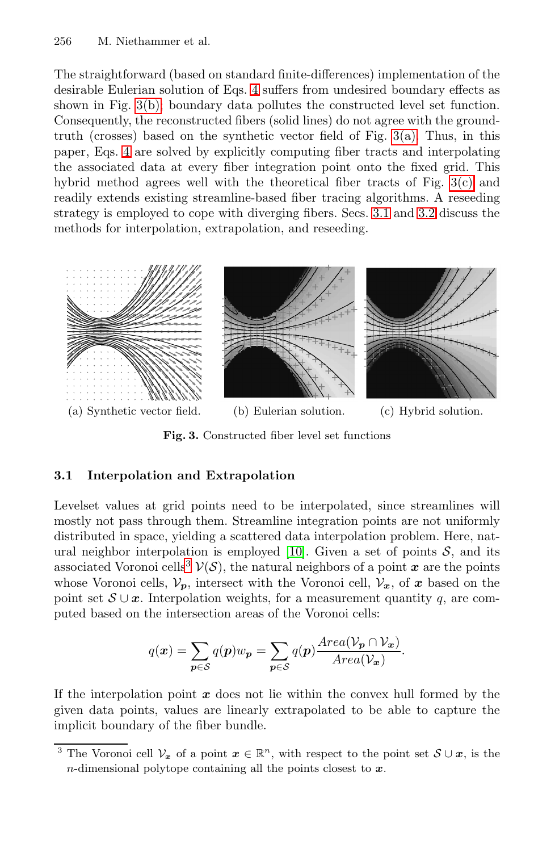The straightforward (based on standard finite-differences) implementation of the desirable Eulerian solution of Eqs. 4 suffers from undesired boundary effects as shown in Fig. 3(b); boundary data pollutes the constructed level set function. Consequently, the reconstructed fibers (solid lines) do not agree with the groundtruth (crosses) based on the synthetic vector field of Fig. 3(a). Thus, in this paper, Eqs. 4 are solved by explicitly computing fiber tracts and interpolating the associated data at every fiber integration point onto the fixed grid. This hybrid method agrees well with the theoretical fiber tracts of Fig. 3(c) and readily extends existing streamline-based fiber tracing algorithms. A reseeding strategy is employed to cope with diverging fibers. Secs. 3.1 and 3.2 discuss the methods for interpolation, extrapolation, and reseeding.



**Fig. 3.** Constructed fiber level set functions

#### **3.1 Interpolation and Extrapolation**

Levelset values at grid points need to be interpolated, since streamlines will mostly not pass through them. Streamline integration points are not uniformly distributed in space, yielding a scattered data interpolation problem. Here, natural neighbor interpolation is employed [10]. Given a set of points  $S$ , and its associated Voronoi cells<sup>3</sup>  $V(S)$ , the natural neighbors of a point x are the points whose Voronoi cells,  $V_p$ , intersect with the Voronoi cell,  $V_x$ , of x based on the point set  $S \cup x$ . Interpolation weights, for a measurement quantity q, are computed based on the intersection areas of the Voronoi cells:

$$
q(\boldsymbol{x}) = \sum_{\boldsymbol{p} \in \mathcal{S}} q(\boldsymbol{p}) w_{\boldsymbol{p}} = \sum_{\boldsymbol{p} \in \mathcal{S}} q(\boldsymbol{p}) \frac{Area(\mathcal{V}_{\boldsymbol{p}} \cap \mathcal{V}_{\boldsymbol{x}})}{Area(\mathcal{V}_{\boldsymbol{x}})}.
$$

If the interpolation point  $x$  does not lie within the convex hull formed by the given data points, values are linearly extrapolated to be able to capture the implicit boundary of the fiber bundle.

The Voronoi cell  $V_x$  of a point  $x \in \mathbb{R}^n$ , with respect to the point set  $S \cup x$ , is the n-dimensional polytope containing all the points closest to *x*.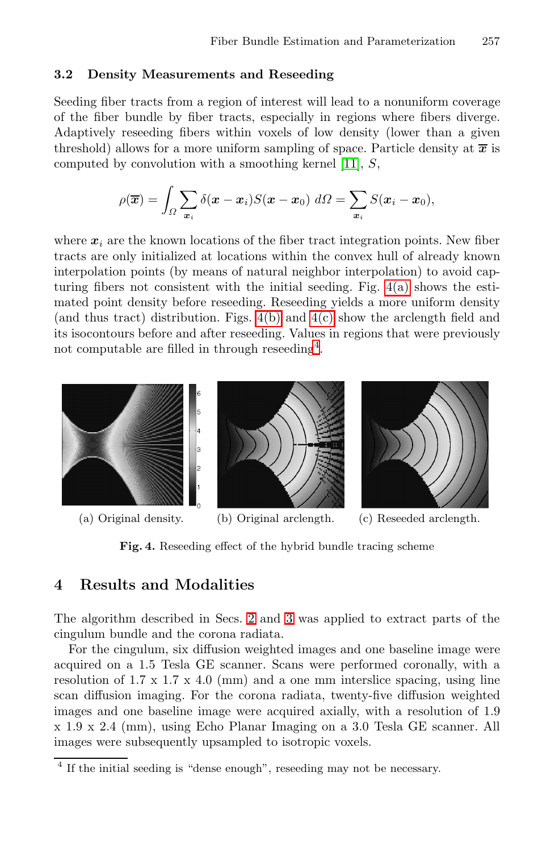#### **3.2 Density Measurements and Reseeding**

Seeding fiber tracts from a region of interest will lead to a nonuniform coverage of the fiber bundle by fiber tracts, especially in regions where fibers diverge. Adaptively reseeding fibers within voxels of low density (lower than a given threshold) allows for a more uniform sampling of space. Particle density at  $\bar{x}$  is computed by convolution with a smoothing kernel [11],  $S$ ,

$$
\rho(\overline{\boldsymbol{x}}) = \int_{\Omega} \sum_{\boldsymbol{x}_i} \delta(\boldsymbol{x} - \boldsymbol{x}_i) S(\boldsymbol{x} - \boldsymbol{x}_0) \ d\Omega = \sum_{\boldsymbol{x}_i} S(\boldsymbol{x}_i - \boldsymbol{x}_0),
$$

where  $x_i$  are the known locations of the fiber tract integration points. New fiber tracts are only initialized at locations within the convex hull of already known interpolation points (by means of natural neighbor interpolation) to avoid capturing fibers not consistent with the initial seeding. Fig. 4(a) shows the estimated point density before reseeding. Reseeding yields a more uniform density (and thus tract) distribution. Figs. 4(b) and 4(c) show the arclength field and its isocontours before and after reseeding. Values in regions that were previously not computable are filled in through reseeding<sup>4</sup>.



**Fig. 4.** Reseeding effect of the hybrid bundle tracing scheme

## **4 Results and Modalities**

The algorithm described in Secs. 2 and 3 was applied to extract parts of the cingulum bundle and the corona radiata.

For the cingulum, six diffusion weighted images and one baseline image were acquired on a 1.5 Tesla GE scanner. Scans were performed coronally, with a resolution of  $1.7 \times 1.7 \times 4.0$  (mm) and a one mm interslice spacing, using line scan diffusion imaging. For the corona radiata, twenty-five diffusion weighted images and one baseline image were acquired axially, with a resolution of 1.9 x 1.9 x 2.4 (mm), using Echo Planar Imaging on a 3.0 Tesla GE scanner. All images were subsequently upsampled to isotropic voxels.

 $^4$  If the initial seeding is "dense enough", reseeding may not be necessary.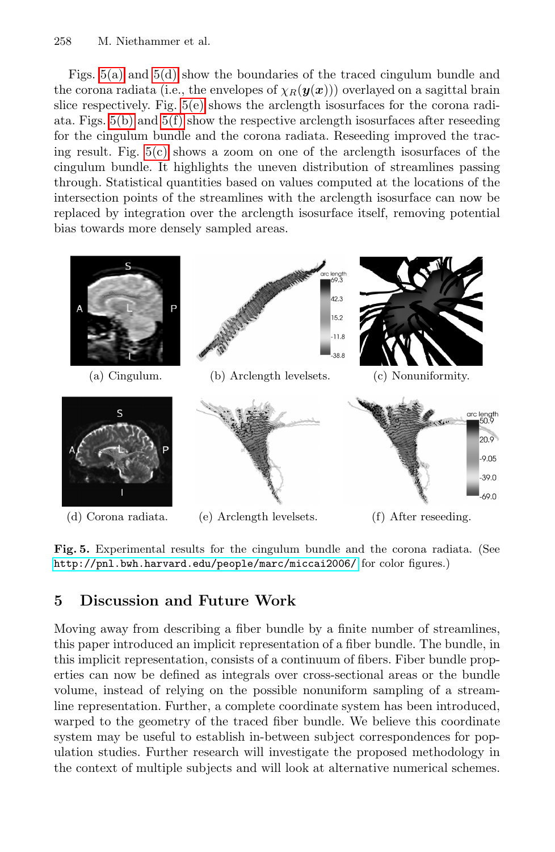Figs. 5(a) and 5(d) show the boundaries of the traced cingulum bundle and the corona radiata (i.e., the envelopes of  $\chi_R(\bm{y}(\bm{x}))$ ) overlayed on a sagittal brain slice respectively. Fig. 5(e) shows the arclength isosurfaces for the corona radiata. Figs. 5(b) and 5(f) show the respective arclength isosurfaces after reseeding for the cingulum bundle and the corona radiata. Reseeding improved the tracing result. Fig. 5(c) shows a zoom on one of the arclength isosurfaces of the cingulum bundle. It highlights the uneven distribution of streamlines passing through. Statistical quantities based on values computed at the locations of the intersection points of the streamlines with the arclength isosurface can now be replaced by integration over the arclength isosurface itself, removing potential bias towards more densely sampled areas.



**Fig. 5.** Experimental results for the cingulum bundle and the corona radiata. (See <http://pnl.bwh.harvard.edu/people/marc/miccai2006/> for color figures.)

# **5 Discussion and Future Work**

Moving away from describing a fiber bundle by a finite number of streamlines, this paper introduced an implicit representation of a fiber bundle. The bundle, in this implicit representation, consists of a continuum of fibers. Fiber bundle properties can now be defined as integrals over cross-sectional areas or the bundle volume, instead of relying on the possible nonuniform sampling of a streamline representation. Further, a complete coordinate system has been introduced, warped to the geometry of the traced fiber bundle. We believe this coordinate system may be useful to establish in-between subject correspondences for population studies. Further research will investigate the proposed methodology in the context of multiple subjects and will look at alternative numerical schemes.